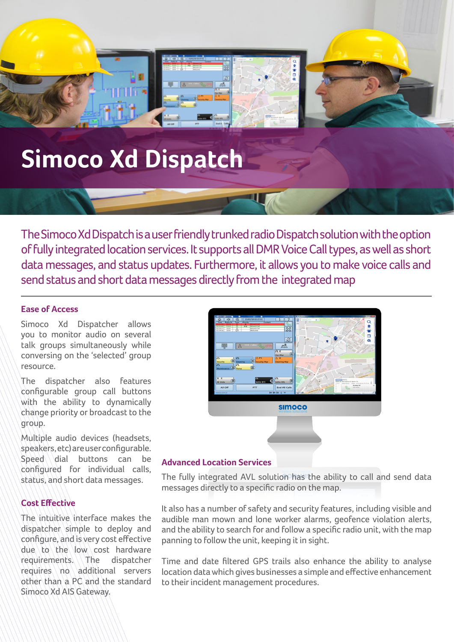# **Simoco Xd Dispatch**

The Simoco Xd Dispatch is a user friendly trunked radio Dispatch solution with the option of fully integrated location services. It supports all DMR Voice Call types, as well as short data messages, and status updates. Furthermore, it allows you to make voice calls and send status and short data messages directly from the integrated map

### **Ease of Access**

Simoco Xd Dispatcher allows you to monitor audio on several talk groups simultaneously while conversing on the 'selected' group resource.

The dispatcher also features configurable group call buttons with the ability to dynamically change priority or broadcast to the group.

Multiple audio devices (headsets, speakers, etc) are user configurable.  $Speed \cdot b$ uttons can be configured for individual calls, status, and short data messages.

## **Cost Effective**

The intuitive interface makes the dispatcher simple to deploy and configure, and is very cost effective  $d\mu$ e to the low cost hardware requirements. The dispatcher requires no additional servers other than a PC and the standard Simoco Xd AIS Gateway.



## **Advanced Location Services**

The fully integrated AVL solution has the ability to call and send data messages directly to a specific radio on the map.

It also has a number of safety and security features, including visible and audible man mown and lone worker alarms, geofence violation alerts, and the ability to search for and follow a specific radio unit, with the map panning to follow the unit, keeping it in sight.

Time and date filtered GPS trails also enhance the ability to analyse location data which gives businesses a simple and effective enhancement to their incident management procedures.